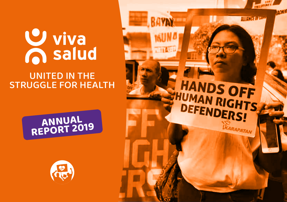# U viva<br><u>A</u> salud

### UNITED IN THE STRUGGLE FOR HEALTH

# **ANNUAL REPORT 2019**



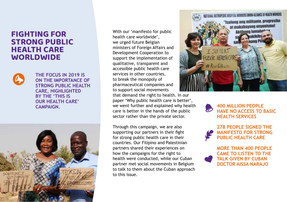#### **FIGHTING FOR STRONG PUBLIC HEALTH CARE WORLDWIDE**



**THE FOCUS IN 2019 IS ON THE IMPORTANCE OF STRONG PUBLIC HEALTH CARE, HIGHLIGHTED BY THE 'THIS IS OUR HEALTH CARE'** 



With our 'manifesto for public health care worldwide', we urged future Belgian ministers of Foreign Affairs and Development Cooperation to support the implementation of qualitative, transparent and accessible public health care services in other countries, to break the monopoly of pharmaceutical companies and to support social movements that demand the right to health. In our paper 'Why public health care is better', we went further and explained why health **CAMPAIGN. 400 MILLION PEOPLE**  care is better in the hands of the public

> Through this campaign, we are also supporting our partners in their fight for strong public health care in their countries. Our Filipino and Palestinian partners shared their experiences on how the campaigns for the right to health were conducted, while our Cuban partner met social movements in Belgium to talk to them about the Cuban approach to this issue.

sector rather than the private sector.



**HAVE NO ACCESS TO BASIC HEALTH SERVICES**



**MORE THAN 400 PEOPLE CAME TO LISTEN TO THE TALK GIVEN BY CUBAN DOCTOR AISSA NARAJO**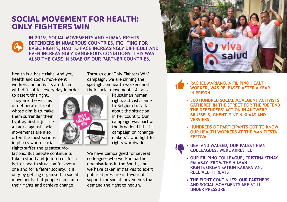#### **SOCIAL MOVEMENT FOR HEALTH: ONLY FIGHTERS WIN**

**IN 2019, SOCIAL MOVEMENTS AND HUMAN RIGHTS DEFENDERS IN NUMEROUS COUNTRIES, FIGHTING FOR BASIC RIGHTS, HAD TO FACE INCREASINGLY DIFFICULT AND EVEN INCREASINGLY DANGEROUS CONDITIONS. THIS WAS ALSO THE CASE IN SOME OF OUR PARTNER COUNTRIES.**

Health is a basic right. And yet, health and social movement workers and activists are faced with difficulties every day in order

to assert this right. They are the victims of deliberate threats whose aim is to make them surrender their fight against injustice. Attacks against social movements are also often the most serious in places where social

rights suffer the greatest violations. But people continue to take a stand and join forces for a better health situation for everyone and for a fairer society. It is only by getting organised in social movements that people can claim their rights and achieve change.



Through our 'Only Fighters Win' campaign, we are shining the spotlight on health workers and their social movements. Asrar, a

Palestinian human rights activist, came to Belgium to talk about the situation in her country. Our campaign was part of the broader 11.11.11 campaign on 'changemakers', who fight for rights worldwide.

We have campaigned for several colleagues who work in partner organisations in the South, and we have taken initiatives to exert political pressure in favour of support for social movements that demand the right to health.



**• RACHEL MARIANO, A FILIPINO HEALTH WORKER, WAS RELEASED AFTER A YEAR IN PRISON**

- **• 300 HUNDRED SOCIAL MOVEMENT ACTIVISTS GATHERED IN THE STREET FOR THE 'DEFEND THE DEFENDERS' ACTION IN ANTWERP, BRUSSELS, GHENT, SINT-NIKLAAS AND VERVIERS**
- **• HUNDREDS OF PARTICIPANTS GOT TO KNOW OUR HEALTH WORKERS AT THE MANIFIESTA FESTIVAL**
- **• UBAI AND WALEED, OUR PALESTINIAN COLLEAGUES, WERE ARRESTED**
	- **• OUR FILIPINO COLLEAGUE, CRISTINA 'TINAY' PALABAY, FROM THE HUMAN RIGHTS ORGANISATION KARAPATAN, RECEIVED THREATS**
	- **• THE FIGHT CONTINUES: OUR PARTNERS AND SOCIAL MOVEMENTS ARE STILL UNDER PRESSURE**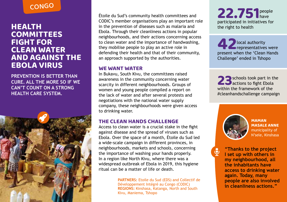#### CONGO

#### **HEALTH COMMITTEES FIGHT FOR CLEAN WATER AND AGAINST THE EBOLA VIRUS**

**PREVENTION IS BETTER THAN CURE. ALL THE MORE SO IF WE CAN'T COUNT ON A STRONG HEALTH CARE SYSTEM.**



Étoile du Sud's community health committees and CODIC's member organisations play an important role in the prevention of diseases such as malaria and Ebola. Through their cleanliness actions in popular neighbourhoods, and their actions concerning access to clean water and the importance of handwashing, they mobilise people to play an active role in defending their health and that of their community, an approach supported by the authorities.

#### **WE WANT WATER**

In Bukavu, South Kivu, the committees raised awareness in the community concerning water scarcity in different neighbourhoods. Groups of women and young people compiled a report on the lack of water and after several protests and negotiations with the national water supply company, these neighbourhoods were given access to drinking water.

#### **THE CLEAN HANDS CHALLENGE**

Access to clean water is a crucial stake in the fight against disease and the spread of viruses such as Ebola. Over the space of a month, Étoile du Sud led a wide-scale campaign in different provinces, in neighbourhoods, markets and schools, concerning the importance of washing your hands properly. In a region like North Kivu, where there was a widespread outbreak of Ebola in 2019, this hygiene ritual can be a matter of life or death.

> **PARTNERS:** Etoile du Sud (EDS) and Collectif de Développement Intégré au Congo (CODIC) **REGIONS:** Kinshasa, Katanga, North and South Kivu, Maniema, Tshopo

22.751 **people**<br>participated in initiatives for have participated in initiatives for the right to health

**42** local authority<br>present when the 'Clean Hands **Frepresentatives were** Challenge' ended in Tshopo

23 schools took part in the actions to fight Ebola<br>within the framework of the within the framework of the #cleanhandschallenge campaign



 $\ddot{\bullet}$ 

**MAMAN MASALE ANNE**  municipality of N'sele, Kinshasa

**"Thanks to the project I set up with others in my neighbourhood, all the inhabitants have access to drinking water again. Today, many people are also involved in cleanliness actions."**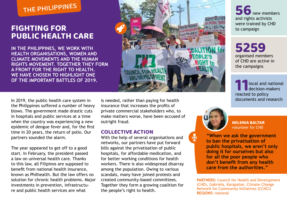# THE PHILIPPINES

#### **FIGHTING FOR PUBLIC HEALTH CARE**

**IN THE PHILIPPINES, WE WORK WITH HEALTH ORGANISATIONS, WOMEN AND CLIMATE MOVEMENTS AND THE HUMAN RIGHTS MOVEMENT. TOGETHER THEY FORM A FRONT FOR THE RIGHT TO HEALTH. WE HAVE CHOSEN TO HIGHLIGHT ONE OF THE IMPORTANT BATTLES OF 2019.**



**56** new members and rights activists were trained by CHD to campaign

**5259** organised members of CHD are active in the campaigns

**11**local and national decision-makers reacted to policy

the Philippines suffered a number of heavy blows. The government made drastic cuts in hospitals and public services at a time when the country was experiencing a new epidemic of dengue fever and, for the first time in 20 years, the return of polio. Our partners sounded the alarm.

The year appeared to get off to a good start. In February, the president passed a law on universal health care. Thanks to this law, all Filipinos are supposed to benefit from national health insurance, known as Philhealth. But the law offers no solution for chronic health problems. Major investments in prevention, infrastructure and public health services are what

In 2019, the public health care system in is needed, rather than paying for health is needed, rather than paying for health insurance that increases the profits of private commercial stakeholders who, to make matters worse, have been accused of outright fraud.

#### **COLLECTIVE ACTION**

With the help of several organisations and networks, our partners have put forward bills against the privatisation of public hospitals, for affordable medication, and for better working conditions for health workers. There is also widespread disarray among the population. Owing to various scandals, many have joined protests and created community-based committees. Together they form a growing coalition for the people's right to health.



లై

**NELENIA BALTAR**  volunteer for CHD

**"When we ask the government to ban the privatisation of public hospitals, we aren't only doing it for ourselves but also for all the poor people who don't benefit from any health care from the authorities."**

**PARTNERS:** Council for Health and Development (CHD), Gabriela, Karapatan, Climate Change Network for Community Initiatives (CCNCI) **REGIONS:** national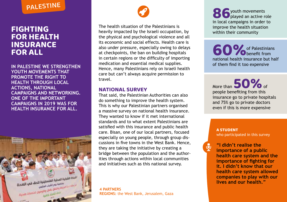# PALESTINE

#### **FIGHTING FOR HEALTH INSURANCE FOR ALL**

**IN PALESTINE WE STRENGTHEN YOUTH MOVEMENTS THAT PROMOTE THE RIGHT TO HEALTH THROUGH LOCAL ACTIONS, NATIONAL CAMPAIGNS AND NETWORKING. ONE OF THE IMPORTANT CAMPAIGNS IN 2019 WAS FOR HEALTH INSURANCE FOR ALL.**





The health situation of the Palestinians is heavily impacted by the Israeli occupation, by the physical and psychological violence and all its economic and social effects. Health care is also under pressure, especially owing to delays at checkpoints, the ban on building hospitals in certain regions or the difficulty of importing medication and essential medical supplies. Hence, many Palestinians rely on Israeli health care but can't always acquire permission to travel.

#### **NATIONAL SURVEY**

That said, the Palestinian Authorities can also do something to improve the health system. This is why our Palestinian partners organised a massive survey on national health insurance. They wanted to know if it met international standards and to what extent Palestinians are satisfied with this insurance and public health care. Bisan, one of our local partners, focused especially on young people, through group discussions in five towns in the West Bank. Hence, they are taking the initiative by creating a bridge between the population and the authorities through actions within local communities and initiatives such as this national survey.

**4 PARTNERS REGIONS:** the West Bank, Jerusalem, Gaza

**86** youth movements<br>in local campaigns in order to **p** played an active role improve the health situation within their community

**60 %** of Palestinians<br>national health insurance but ha benefit from national health insurance but half of them find it too expensive

More than **50%** of people benefiting from this insurance go to private hospitals and 75% go to private doctors even if this is more expensive

#### **A STUDENT** who participated in this survey

 $\ddot{\mathbf{\Psi}}$ 

**"I didn't realise the importance of a public health care system and the importance of fighting for it. I didn't know that our health care system allowed companies to play with our lives and our health."**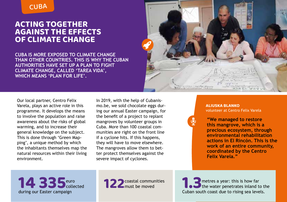#### CUBA

#### **ACTING TOGETHER AGAINST THE EFFECTS OF CLIMATE CHANGE**

**CUBA IS MORE EXPOSED TO CLIMATE CHANGE THAN OTHER COUNTRIES. THIS IS WHY THE CUBAN AUTHORITIES HAVE SET UP A PLAN TO FIGHT CLIMATE CHANGE, CALLED 'TAREA VIDA', WHICH MEANS 'PLAN FOR LIFE'.**



මූ

Our local partner, Centro Felix Varela, plays an active role in this programme. It develops the means to involve the population and raise awareness about the risks of global warming, and to increase their general knowledge on the subject. This is done through 'Green Mapping', a unique method by which the inhabitants themselves map the natural resources within their living environment.

In 2019, with the help of Cubanismo.be, we sold chocolate eggs during our annual Easter campaign, for the benefit of a project to replant mangroves by volunteer groups in Cuba. More than 100 coastal communities are right on the front line if a cyclone hits. If this happens, they will have to move elsewhere. The mangroves allow them to better protect themselves against the severe impact of cyclones.

**ALIUSKA BLANKO**  volunteer at Centro Felix Varela

**"We managed to restore this mangrove, which is a precious ecosystem, through environmental rehabilitation actions in El Rincón. This is the work of an entire community, coordinated by the Centro Felix Varela."**

**14 335** euro<br>during our Easter campaign<br>**122** must be moved collected during our Easter campaign

**1.3** metres a year: this is how far<br>Cuban south coast due to rising sea levels. the water penetrates inland to the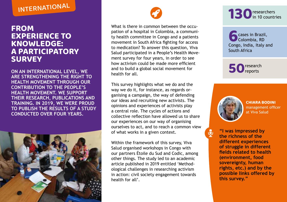# INTERNATIONAL

#### **FROM EXPERIENCE TO KNOWLEDGE: A PARTICIPATORY SURVEY**

**ON AN INTERNATIONAL LEVEL, WE ARE STRENGTHENING THE RIGHT TO HEALTH MOVEMENT THROUGH OUR CONTRIBUTION TO THE PEOPLE'S HEALTH MOVEMENT. WE SUPPORT THEIR RESEARCH, PUBLICATIONS AND TRAINING. IN 2019, WE WERE PROUD TO PUBLISH THE RESULTS OF A STUDY CONDUCTED OVER FOUR YEARS.**





What is there in common between the occupation of a hospital in Colombia, a community health committee in Congo and a patients movement in South Africa fighting for access to medication? To answer this question, Viva Salud participated in a People's Health Movement survey for four years, in order to see how activism could be made more efficient and to build a global social movement for health for all.

This survey highlights what we do and the way we do it, for instance, as regards organising a campaign, the way of defending our ideas and recruiting new activists. The opinions and experiences of activists play a central role. The cycles of actions and collective reflection have allowed us to share our experiences on our way of organising ourselves to act, and to reach a common view of what works in a given context.

Within the framework of this survey, Viva Salud organised workshops in Congo with our partners Étoile du Sud and Codic, among other things. The study led to an academic article published in 2019 entitled 'Methodological challenges in researching activism in action: civil society engagement towards health for all'.



**6** cases in Brazil,<br> **6** Colombia, RD<br>
Congo, India, Italy and Colombia, RD South Africa

**50** reports



 $\ddot{\mathbf{\nabla}}$ 

**CHIARA BODINI** management officer at Viva Salud

**"I was impressed by the richness of the different experiences of struggle in different fields related to health (environment, food sovereignty, human rights, etc.) and by the possible links offered by this survey."**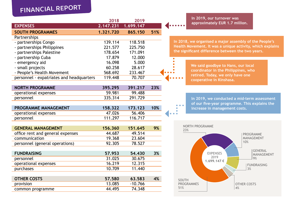### FINANCIAL REPORT

|                                          | 2018      | 2019      |     |  |
|------------------------------------------|-----------|-----------|-----|--|
| <b>EXPENSES</b>                          | 2.147.231 | 1.699.147 |     |  |
| <b>SOUTH PROGRAMMES</b>                  | 1.321.720 | 865.150   | 51% |  |
| Partnerships                             |           |           |     |  |
| - partnerships Congo                     | 139.114   | 118.518   |     |  |
| - partnerships Philippines               | 221.577   | 225.750   |     |  |
| - partnerships Palestine                 | 178.654   | 171.091   |     |  |
| - partnership Cuba                       | 17.879    | 12.000    |     |  |
| - emergency aid                          | 16.098    | 5.000     |     |  |
| - small projects                         | 60.258    | 28.617    |     |  |
| - People's Health Movement               | 568.692   | 233.467   |     |  |
| personnel - expatriates and headquarters | 119.448   | 70.707    |     |  |
|                                          |           |           |     |  |
| <b>NORTH PROGRAMME</b>                   | 395.295   | 391.217   | 23% |  |
| operational expenses                     | 59.981    | 99.488    |     |  |
| personnel                                | 335.314   | 291.729   |     |  |
|                                          |           |           |     |  |
| <b>PROGRAMME MANAGEMENT</b>              | 158.322   | 173.123   | 10% |  |

operational expenses and the control of the distribution of the personnel and the control of the control of the method of the control of the control of the control of the control of the control of the control of the contro personnel 111.297

| <b>GENERAL MANAGEMENT</b>        | 156.360 | 151.645 | 9% |
|----------------------------------|---------|---------|----|
| office rent and general expenses | 44.687  | 49.514  |    |
| communication                    | 19.368  | 23.604  |    |
| personnel (general operations)   | 92.305  | 78.527  |    |
|                                  |         |         |    |

| <b>FUNDRAISING</b>   | 57.953 | 54,430    | 3% |
|----------------------|--------|-----------|----|
| personnel            | 31.025 | 30.675    |    |
| operational expenses | 16.219 | 12.315    |    |
| purchases            | 10.709 | 11.440    |    |
|                      |        |           |    |
| <b>OTHER COSTS</b>   | 57.580 | 63.583    | 4% |
| provision            | 13.085 | $-10.766$ |    |

common programme 44.495 74.348

**In 2019, our turnover was approximately EUR 1.7 million.**

**In 2018, we organised a major assembly of the People's Health Movement. It was a unique activity, which explains the significant difference between the two years.**

> **We said goodbye to Hans, our local coordinator in the Philippines, who retired. Today, we only have one cooperative in Kinshasa.**

**In 2019, we conducted a mid-term assessment of our five-year programme. This explains the increase in management costs.**

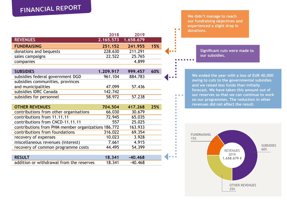## FINANCIAL REPORT

|                        | 2018      | 2019      |     |
|------------------------|-----------|-----------|-----|
| <b>REVENUES</b>        | 2.165.573 | 1.658.679 |     |
| <b>FUNDRAISING</b>     | 251.152   | 241.955   | 15% |
| donations and bequests | 228.630   | 211.291   |     |
| sales campaigns        | 22.522    | 25.765    |     |
| companies              |           | 4.899     |     |
|                        |           |           |     |

| <b>SUBSIDIES</b>                 | 1.209.917 | 999.457 | 60% |
|----------------------------------|-----------|---------|-----|
| subsidies federal government DGD | 961.104   | 884.783 |     |
| subsidies communities, provinces |           |         |     |
| and municipalities               | 47.099    | 57.436  |     |
| subsidies IDRC Canada            | 142.742   |         |     |
| subsidies for personnel          | 58.972    | 57.238  |     |

| <b>OTHER REVENUES</b>                               | 704.504 | 417.268 | 25% |
|-----------------------------------------------------|---------|---------|-----|
| contributions from other organisations              | 66.030  | 30.679  |     |
| contributions from 11.11.11                         | 72.945  | 65.035  |     |
| contributions from CNCD-11.11.11                    | 557     | 25.025  |     |
| contributions from PHM member organizations 186.772 |         | 163.933 |     |
| contributions from foundations                      | 316.022 | 69.354  |     |
| recovery of expenses                                | 10.023  | 3.928   |     |
| miscellaneous revenues (interest)                   | 7.661   | 4.915   |     |
| recovery of common programme costs                  | 44.495  | 54.399  |     |
|                                                     |         |         |     |

| <b>RESULT</b>                            | 18.341 | $-40.468$ |  |
|------------------------------------------|--------|-----------|--|
| addition or withdrawal from the reserves | 18.341 | -40.468   |  |

**We didn't manage to reach our fundraising objectives and experienced a slight drop in donations.**

 $\blacksquare$ 

 $\bullet$ 

1. . .

**Significant cuts were made to our subsidies.**

**We ended the year with a loss of EUR 40,000 owing to cuts to the governmental subsidies and we raised less funds than initially forecast. We have taken this amount out of our reserves so that we can continue to work on our programmes. The reduction in other revenues did not affect the result.**

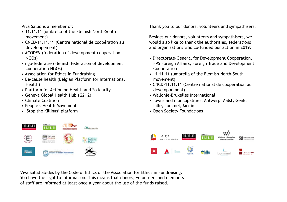Viva Salud is a member of:

- 11.11.11 (umbrella of the Flemish North-South movement)
- CNCD-11.11.11 (Centre national de coopération au développement)
- ACODEV (federation of development cooperation NGOs)
- ngo-federatie (Flemish federation of development cooperation NGOs)
- Association for Ethics in Fundraising
- Be-cause health (Belgian Platform for International Health)
- Platform for Action on Health and Solidarity
- Geneva Global Health Hub (G2H2)
- Climate Coalition
- People's Health Movement
- 'Stop the Killings' platform

Thank you to our donors, volunteers and sympathisers.

Besides our donors, volunteers and sympathisers, we would also like to thank the authorities, federations and organisations who co-funded our action in 2019:

- Directorate-General for Development Cooperation, FPS Foreign Affairs, Foreign Trade and Development Cooperation
- 11.11.11 (umbrella of the Flemish North-South movement)
- CNCD-11.11.11 (Centre national de coopération au développement)
- Wallonie-Bruxelles International
- Towns and municipalities: Antwerp, Aalst, Genk, Lille, Lommel, Menin
- Open Society Foundations



Viva Salud abides by the Code of Ethics of the Association for Ethics in Fundraising. You have the right to information. This means that donors, volunteers and members of staff are informed at least once a year about the use of the funds raised.